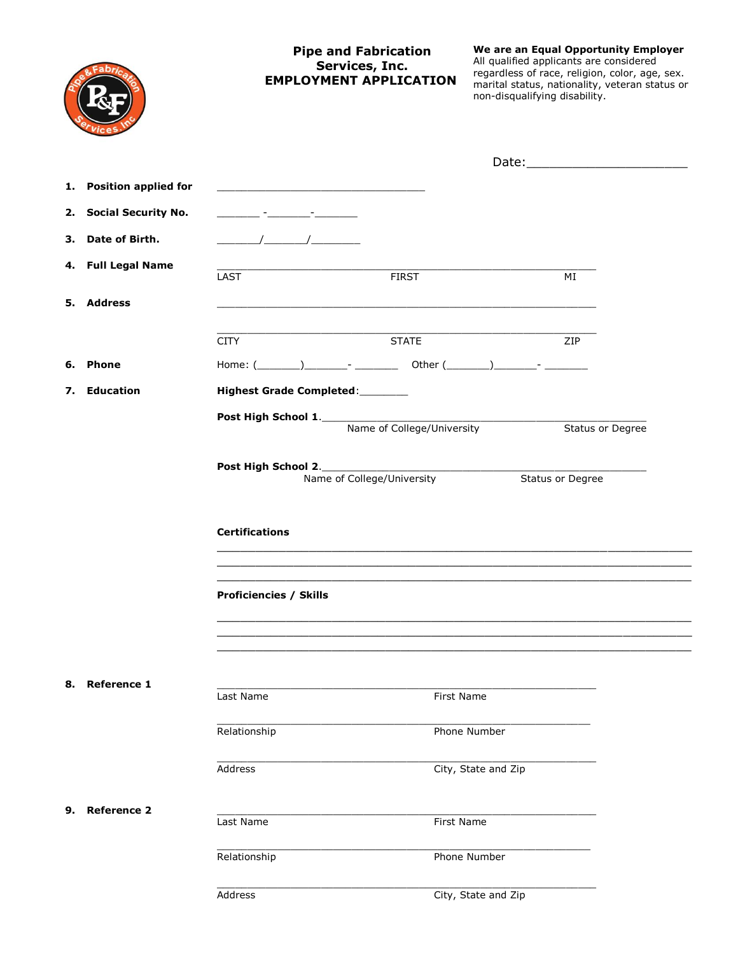|                                                      |                                                                                                                                                                                                                                                                                                                     | <b>Pipe and Fabrication</b><br>Services, Inc.<br><b>EMPLOYMENT APPLICATION</b>      | non-disqualifying disability.       | We are an Equal Opportunity Employer<br>All qualified applicants are considered<br>regardless of race, religion, color, age, sex.<br>marital status, nationality, veteran status or |
|------------------------------------------------------|---------------------------------------------------------------------------------------------------------------------------------------------------------------------------------------------------------------------------------------------------------------------------------------------------------------------|-------------------------------------------------------------------------------------|-------------------------------------|-------------------------------------------------------------------------------------------------------------------------------------------------------------------------------------|
|                                                      |                                                                                                                                                                                                                                                                                                                     |                                                                                     |                                     |                                                                                                                                                                                     |
| <b>Position applied for</b><br>1.                    |                                                                                                                                                                                                                                                                                                                     |                                                                                     |                                     |                                                                                                                                                                                     |
| <b>Social Security No.</b><br>2.                     | <u> 1980 - John Harry Harry Harry Harry Harry Harry Harry Harry Harry Harry Harry Harry Harry Harry Harry Harry H</u>                                                                                                                                                                                               |                                                                                     |                                     |                                                                                                                                                                                     |
| Date of Birth.<br>з.                                 | $\frac{1}{2}$ $\frac{1}{2}$ $\frac{1}{2}$ $\frac{1}{2}$ $\frac{1}{2}$ $\frac{1}{2}$ $\frac{1}{2}$ $\frac{1}{2}$ $\frac{1}{2}$ $\frac{1}{2}$ $\frac{1}{2}$ $\frac{1}{2}$ $\frac{1}{2}$ $\frac{1}{2}$ $\frac{1}{2}$ $\frac{1}{2}$ $\frac{1}{2}$ $\frac{1}{2}$ $\frac{1}{2}$ $\frac{1}{2}$ $\frac{1}{2}$ $\frac{1}{2}$ |                                                                                     |                                     |                                                                                                                                                                                     |
| <b>Full Legal Name</b><br>4.                         | LAST                                                                                                                                                                                                                                                                                                                | <b>FIRST</b>                                                                        |                                     | МI                                                                                                                                                                                  |
| 5. Address                                           |                                                                                                                                                                                                                                                                                                                     |                                                                                     |                                     |                                                                                                                                                                                     |
|                                                      | <b>CITY</b>                                                                                                                                                                                                                                                                                                         | <b>STATE</b>                                                                        |                                     | ZIP                                                                                                                                                                                 |
| <b>Phone</b><br>6.                                   |                                                                                                                                                                                                                                                                                                                     |                                                                                     |                                     |                                                                                                                                                                                     |
| <b>Education</b><br>7.                               | Highest Grade Completed:_______                                                                                                                                                                                                                                                                                     |                                                                                     |                                     |                                                                                                                                                                                     |
|                                                      | Post High School 2._________________<br><b>Certifications</b><br><b>Proficiencies / Skills</b>                                                                                                                                                                                                                      | <b>Post High School 1.</b> Name of College/University<br>Name of College/University |                                     | Status or Degree<br>Status or Degree                                                                                                                                                |
| <b>Reference 1</b><br>8.<br><b>Reference 2</b><br>9. | Last Name<br>Relationship<br>Address                                                                                                                                                                                                                                                                                | First Name                                                                          | Phone Number<br>City, State and Zip |                                                                                                                                                                                     |
|                                                      | Last Name<br>Relationship                                                                                                                                                                                                                                                                                           | First Name                                                                          | Phone Number                        |                                                                                                                                                                                     |
|                                                      | Address                                                                                                                                                                                                                                                                                                             |                                                                                     | City, State and Zip                 |                                                                                                                                                                                     |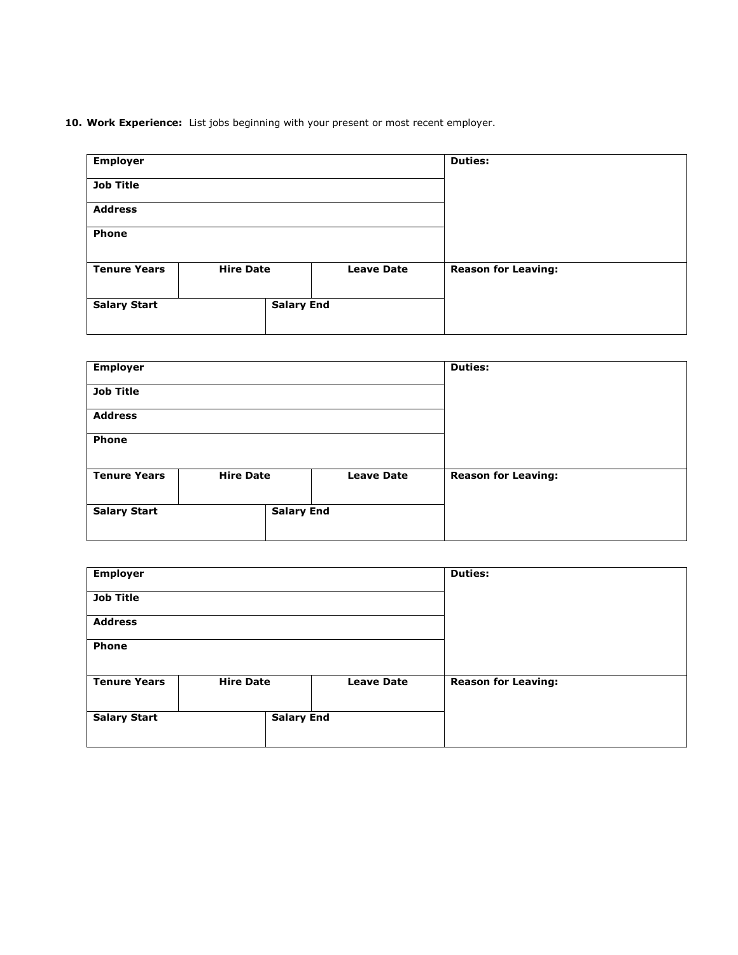**10. Work Experience:** List jobs beginning with your present or most recent employer.

|                   | <b>Duties:</b>                        |  |
|-------------------|---------------------------------------|--|
|                   |                                       |  |
|                   |                                       |  |
|                   |                                       |  |
| <b>Leave Date</b> | <b>Reason for Leaving:</b>            |  |
|                   |                                       |  |
|                   | <b>Hire Date</b><br><b>Salary End</b> |  |

| <b>Employer</b>     |                   |                   | <b>Duties:</b>             |  |
|---------------------|-------------------|-------------------|----------------------------|--|
| <b>Job Title</b>    |                   |                   |                            |  |
| <b>Address</b>      |                   |                   |                            |  |
| Phone               |                   |                   |                            |  |
| <b>Tenure Years</b> | <b>Hire Date</b>  | <b>Leave Date</b> | <b>Reason for Leaving:</b> |  |
| <b>Salary Start</b> | <b>Salary End</b> |                   |                            |  |

| <b>Employer</b>     |                   |                   | <b>Duties:</b>             |  |
|---------------------|-------------------|-------------------|----------------------------|--|
| <b>Job Title</b>    |                   |                   |                            |  |
| <b>Address</b>      |                   |                   |                            |  |
| Phone               |                   |                   |                            |  |
| <b>Tenure Years</b> | <b>Hire Date</b>  | <b>Leave Date</b> | <b>Reason for Leaving:</b> |  |
| <b>Salary Start</b> | <b>Salary End</b> |                   |                            |  |